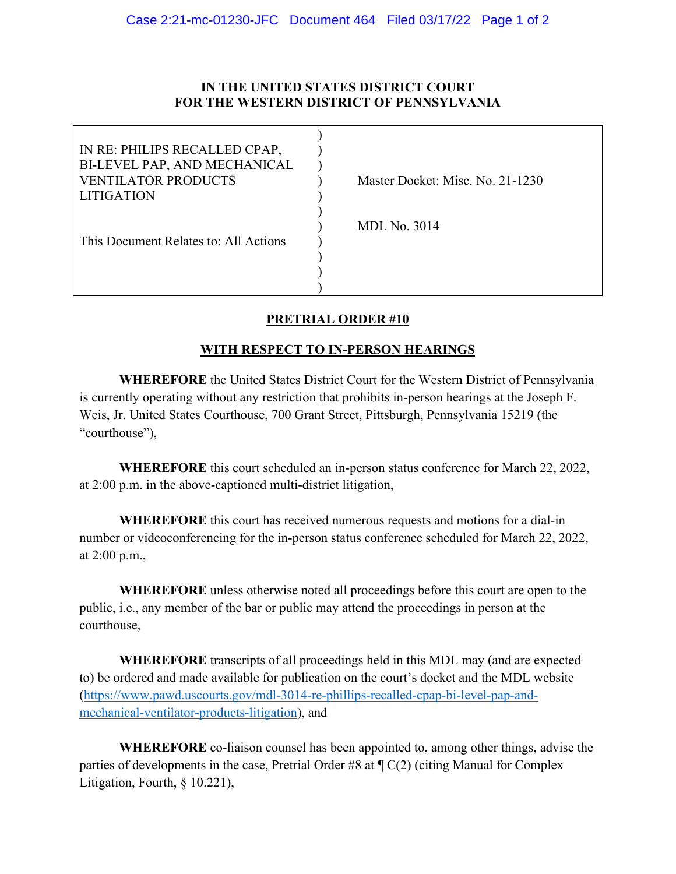### **IN THE UNITED STATES DISTRICT COURT FOR THE WESTERN DISTRICT OF PENNSYLVANIA**

| Master Docket: Misc. No. 21-1230 |
|----------------------------------|
|                                  |
|                                  |
| <b>MDL No. 3014</b>              |
|                                  |
|                                  |
|                                  |
|                                  |
|                                  |

# **PRETRIAL ORDER #10**

## **WITH RESPECT TO IN-PERSON HEARINGS**

**WHEREFORE** the United States District Court for the Western District of Pennsylvania is currently operating without any restriction that prohibits in-person hearings at the Joseph F. Weis, Jr. United States Courthouse, 700 Grant Street, Pittsburgh, Pennsylvania 15219 (the "courthouse"),

**WHEREFORE** this court scheduled an in-person status conference for March 22, 2022, at 2:00 p.m. in the above-captioned multi-district litigation,

**WHEREFORE** this court has received numerous requests and motions for a dial-in number or videoconferencing for the in-person status conference scheduled for March 22, 2022, at 2:00 p.m.,

**WHEREFORE** unless otherwise noted all proceedings before this court are open to the public, i.e., any member of the bar or public may attend the proceedings in person at the courthouse,

**WHEREFORE** transcripts of all proceedings held in this MDL may (and are expected to) be ordered and made available for publication on the court's docket and the MDL website [\(https://www.pawd.uscourts.gov/mdl-3014-re-phillips-recalled-cpap-bi-level-pap-and](https://www.pawd.uscourts.gov/mdl-3014-re-phillips-recalled-cpap-bi-level-pap-and-mechanical-ventilator-products-litigation)[mechanical-ventilator-products-litigation\)](https://www.pawd.uscourts.gov/mdl-3014-re-phillips-recalled-cpap-bi-level-pap-and-mechanical-ventilator-products-litigation), and

**WHEREFORE** co-liaison counsel has been appointed to, among other things, advise the parties of developments in the case, Pretrial Order #8 at  $\P C(2)$  (citing Manual for Complex Litigation, Fourth, § 10.221),